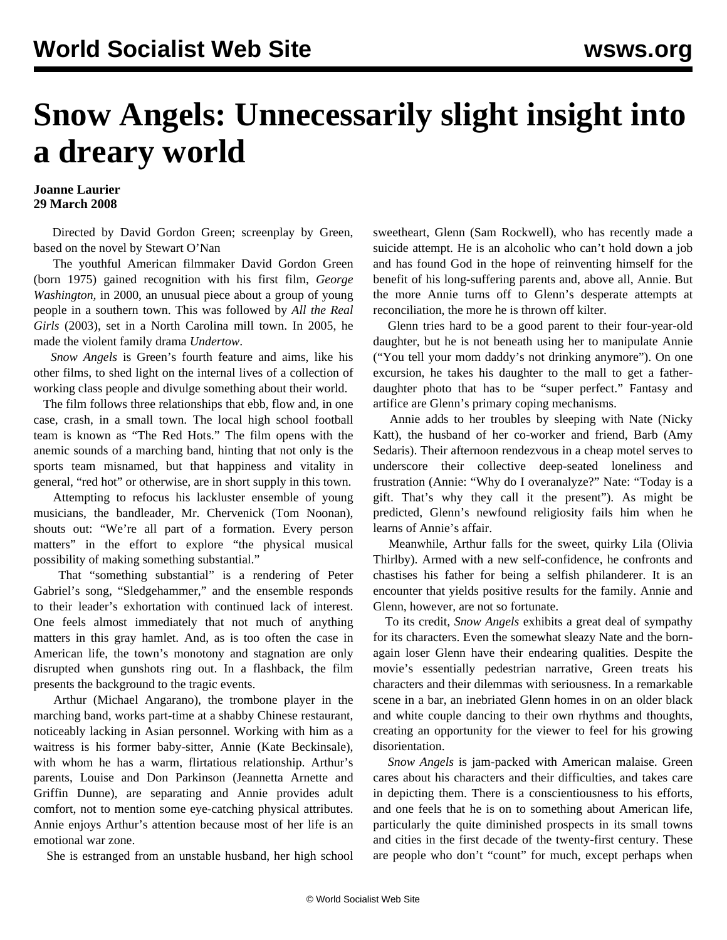## **Snow Angels: Unnecessarily slight insight into a dreary world**

## **Joanne Laurier 29 March 2008**

 Directed by David Gordon Green; screenplay by Green, based on the novel by Stewart O'Nan

 The youthful American filmmaker David Gordon Green (born 1975) gained recognition with his first film, *George Washington,* in 2000, an unusual piece about a group of young people in a southern town. This was followed by *All the Real Girls* (2003), set in a North Carolina mill town. In 2005, he made the violent family drama *Undertow*.

 *Snow Angels* is Green's fourth feature and aims, like his other films, to shed light on the internal lives of a collection of working class people and divulge something about their world.

 The film follows three relationships that ebb, flow and, in one case, crash, in a small town. The local high school football team is known as "The Red Hots." The film opens with the anemic sounds of a marching band, hinting that not only is the sports team misnamed, but that happiness and vitality in general, "red hot" or otherwise, are in short supply in this town.

 Attempting to refocus his lackluster ensemble of young musicians, the bandleader, Mr. Chervenick (Tom Noonan), shouts out: "We're all part of a formation. Every person matters" in the effort to explore "the physical musical possibility of making something substantial."

 That "something substantial" is a rendering of Peter Gabriel's song, "Sledgehammer," and the ensemble responds to their leader's exhortation with continued lack of interest. One feels almost immediately that not much of anything matters in this gray hamlet. And, as is too often the case in American life, the town's monotony and stagnation are only disrupted when gunshots ring out. In a flashback, the film presents the background to the tragic events.

 Arthur (Michael Angarano), the trombone player in the marching band, works part-time at a shabby Chinese restaurant, noticeably lacking in Asian personnel. Working with him as a waitress is his former baby-sitter, Annie (Kate Beckinsale), with whom he has a warm, flirtatious relationship. Arthur's parents, Louise and Don Parkinson (Jeannetta Arnette and Griffin Dunne), are separating and Annie provides adult comfort, not to mention some eye-catching physical attributes. Annie enjoys Arthur's attention because most of her life is an emotional war zone.

She is estranged from an unstable husband, her high school

sweetheart, Glenn (Sam Rockwell), who has recently made a suicide attempt. He is an alcoholic who can't hold down a job and has found God in the hope of reinventing himself for the benefit of his long-suffering parents and, above all, Annie. But the more Annie turns off to Glenn's desperate attempts at reconciliation, the more he is thrown off kilter.

 Glenn tries hard to be a good parent to their four-year-old daughter, but he is not beneath using her to manipulate Annie ("You tell your mom daddy's not drinking anymore"). On one excursion, he takes his daughter to the mall to get a fatherdaughter photo that has to be "super perfect." Fantasy and artifice are Glenn's primary coping mechanisms.

 Annie adds to her troubles by sleeping with Nate (Nicky Katt), the husband of her co-worker and friend, Barb (Amy Sedaris). Their afternoon rendezvous in a cheap motel serves to underscore their collective deep-seated loneliness and frustration (Annie: "Why do I overanalyze?" Nate: "Today is a gift. That's why they call it the present"). As might be predicted, Glenn's newfound religiosity fails him when he learns of Annie's affair.

 Meanwhile, Arthur falls for the sweet, quirky Lila (Olivia Thirlby). Armed with a new self-confidence, he confronts and chastises his father for being a selfish philanderer. It is an encounter that yields positive results for the family. Annie and Glenn, however, are not so fortunate.

 To its credit, *Snow Angels* exhibits a great deal of sympathy for its characters. Even the somewhat sleazy Nate and the bornagain loser Glenn have their endearing qualities. Despite the movie's essentially pedestrian narrative, Green treats his characters and their dilemmas with seriousness. In a remarkable scene in a bar, an inebriated Glenn homes in on an older black and white couple dancing to their own rhythms and thoughts, creating an opportunity for the viewer to feel for his growing disorientation.

 *Snow Angels* is jam-packed with American malaise. Green cares about his characters and their difficulties, and takes care in depicting them. There is a conscientiousness to his efforts, and one feels that he is on to something about American life, particularly the quite diminished prospects in its small towns and cities in the first decade of the twenty-first century. These are people who don't "count" for much, except perhaps when